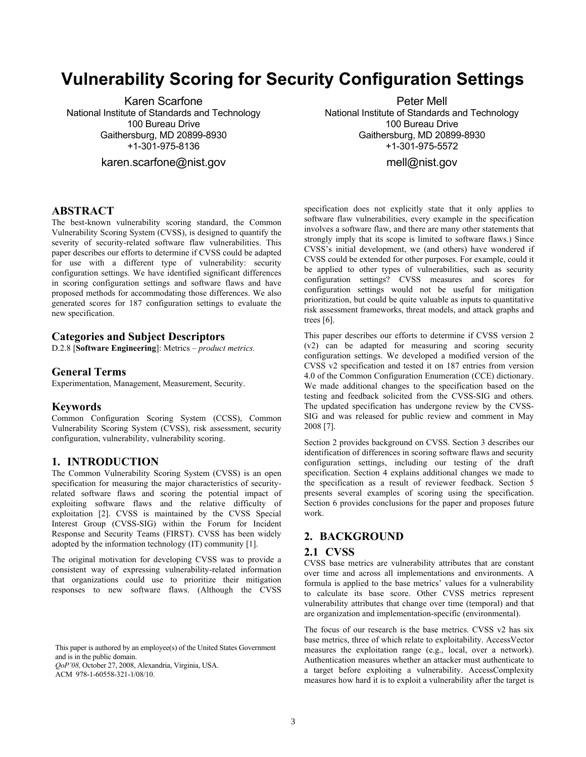# **Vulnerability Scoring for Security Configuration Settings**

Karen Scarfone National Institute of Standards and Technology 100 Bureau Drive Gaithersburg, MD 20899-8930 +1-301-975-8136

karen.scarfone@nist.gov

Peter Mell National Institute of Standards and Technology 100 Bureau Drive Gaithersburg, MD 20899-8930 +1-301-975-5572

mell@nist.gov

# **ABSTRACT**

The best-known vulnerability scoring standard, the Common Vulnerability Scoring System (CVSS), is designed to quantify the severity of security-related software flaw vulnerabilities. This paper describes our efforts to determine if CVSS could be adapted for use with a different type of vulnerability: security configuration settings. We have identified significant differences in scoring configuration settings and software flaws and have proposed methods for accommodating those differences. We also generated scores for 187 configuration settings to evaluate the new specification.

# **Categories and Subject Descriptors**

D.2.8 [**Software Engineering**]: Metrics – *product metrics.* 

#### **General Terms**

Experimentation, Management, Measurement, Security.

### **Keywords**

Common Configuration Scoring System (CCSS), Common Vulnerability Scoring System (CVSS), risk assessment, security configuration, vulnerability, vulnerability scoring.

# **1. INTRODUCTION**

The Common Vulnerability Scoring System (CVSS) is an open specification for measuring the major characteristics of securityrelated software flaws and scoring the potential impact of exploiting software flaws and the relative difficulty of exploitation [2]. CVSS is maintained by the CVSS Special Interest Group (CVSS-SIG) within the Forum for Incident Response and Security Teams (FIRST). CVSS has been widely adopted by the information technology (IT) community [1].

The original motivation for developing CVSS was to provide a consistent way of expressing vulnerability-related information that organizations could use to prioritize their mitigation responses to new software flaws. (Although the CVSS

This paper is authored by an employee(s) of the United States Government and is in the public domain. *QoP'08,* October 27, 2008, Alexandria, Virginia, USA. ACM 978-1-60558-321-1/08/10.

specification does not explicitly state that it only applies to software flaw vulnerabilities, every example in the specification involves a software flaw, and there are many other statements that strongly imply that its scope is limited to software flaws.) Since CVSS's initial development, we (and others) have wondered if CVSS could be extended for other purposes. For example, could it be applied to other types of vulnerabilities, such as security configuration settings? CVSS measures and scores for configuration settings would not be useful for mitigation prioritization, but could be quite valuable as inputs to quantitative risk assessment frameworks, threat models, and attack graphs and trees [6].

This paper describes our efforts to determine if CVSS version 2 (v2) can be adapted for measuring and scoring security configuration settings. We developed a modified version of the CVSS v2 specification and tested it on 187 entries from version 4.0 of the Common Configuration Enumeration (CCE) dictionary. We made additional changes to the specification based on the testing and feedback solicited from the CVSS-SIG and others. The updated specification has undergone review by the CVSS-SIG and was released for public review and comment in May 2008 [7].

Section 2 provides background on CVSS. Section 3 describes our identification of differences in scoring software flaws and security configuration settings, including our testing of the draft specification. Section 4 explains additional changes we made to the specification as a result of reviewer feedback. Section 5 presents several examples of scoring using the specification. Section 6 provides conclusions for the paper and proposes future work.

# **2. BACKGROUND**

### **2.1 CVSS**

CVSS base metrics are vulnerability attributes that are constant over time and across all implementations and environments. A formula is applied to the base metrics' values for a vulnerability to calculate its base score. Other CVSS metrics represent vulnerability attributes that change over time (temporal) and that are organization and implementation-specific (environmental).

The focus of our research is the base metrics. CVSS v2 has six base metrics, three of which relate to exploitability. AccessVector measures the exploitation range (e.g., local, over a network). Authentication measures whether an attacker must authenticate to a target before exploiting a vulnerability. AccessComplexity measures how hard it is to exploit a vulnerability after the target is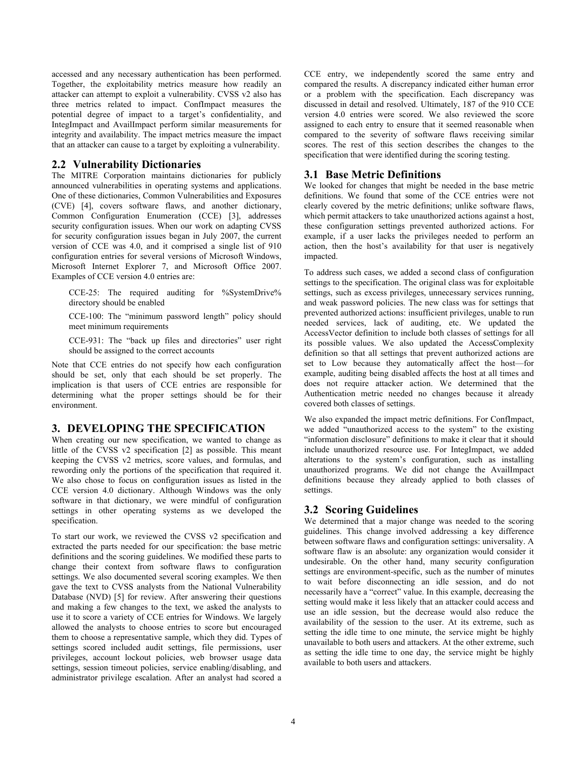accessed and any necessary authentication has been performed. Together, the exploitability metrics measure how readily an attacker can attempt to exploit a vulnerability. CVSS v2 also has three metrics related to impact. ConfImpact measures the potential degree of impact to a target's confidentiality, and IntegImpact and AvailImpact perform similar measurements for integrity and availability. The impact metrics measure the impact that an attacker can cause to a target by exploiting a vulnerability.

# **2.2 Vulnerability Dictionaries**

The MITRE Corporation maintains dictionaries for publicly announced vulnerabilities in operating systems and applications. One of these dictionaries, Common Vulnerabilities and Exposures (CVE) [4], covers software flaws, and another dictionary, Common Configuration Enumeration (CCE) [3], addresses security configuration issues. When our work on adapting CVSS for security configuration issues began in July 2007, the current version of CCE was 4.0, and it comprised a single list of 910 configuration entries for several versions of Microsoft Windows, Microsoft Internet Explorer 7, and Microsoft Office 2007. Examples of CCE version 4.0 entries are:

 CCE-25: The required auditing for %SystemDrive% directory should be enabled

 CCE-100: The "minimum password length" policy should meet minimum requirements

 CCE-931: The "back up files and directories" user right should be assigned to the correct accounts

Note that CCE entries do not specify how each configuration should be set, only that each should be set properly. The implication is that users of CCE entries are responsible for determining what the proper settings should be for their environment.

### **3. DEVELOPING THE SPECIFICATION**

When creating our new specification, we wanted to change as little of the CVSS v2 specification [2] as possible. This meant keeping the CVSS v2 metrics, score values, and formulas, and rewording only the portions of the specification that required it. We also chose to focus on configuration issues as listed in the CCE version 4.0 dictionary. Although Windows was the only software in that dictionary, we were mindful of configuration settings in other operating systems as we developed the specification.

To start our work, we reviewed the CVSS v2 specification and extracted the parts needed for our specification: the base metric definitions and the scoring guidelines. We modified these parts to change their context from software flaws to configuration settings. We also documented several scoring examples. We then gave the text to CVSS analysts from the National Vulnerability Database (NVD) [5] for review. After answering their questions and making a few changes to the text, we asked the analysts to use it to score a variety of CCE entries for Windows. We largely allowed the analysts to choose entries to score but encouraged them to choose a representative sample, which they did. Types of settings scored included audit settings, file permissions, user privileges, account lockout policies, web browser usage data settings, session timeout policies, service enabling/disabling, and administrator privilege escalation. After an analyst had scored a CCE entry, we independently scored the same entry and compared the results. A discrepancy indicated either human error or a problem with the specification. Each discrepancy was discussed in detail and resolved. Ultimately, 187 of the 910 CCE version 4.0 entries were scored. We also reviewed the score assigned to each entry to ensure that it seemed reasonable when compared to the severity of software flaws receiving similar scores. The rest of this section describes the changes to the specification that were identified during the scoring testing.

# **3.1 Base Metric Definitions**

We looked for changes that might be needed in the base metric definitions. We found that some of the CCE entries were not clearly covered by the metric definitions; unlike software flaws, which permit attackers to take unauthorized actions against a host, these configuration settings prevented authorized actions. For example, if a user lacks the privileges needed to perform an action, then the host's availability for that user is negatively impacted.

To address such cases, we added a second class of configuration settings to the specification. The original class was for exploitable settings, such as excess privileges, unnecessary services running, and weak password policies. The new class was for settings that prevented authorized actions: insufficient privileges, unable to run needed services, lack of auditing, etc. We updated the AccessVector definition to include both classes of settings for all its possible values. We also updated the AccessComplexity definition so that all settings that prevent authorized actions are set to Low because they automatically affect the host—for example, auditing being disabled affects the host at all times and does not require attacker action. We determined that the Authentication metric needed no changes because it already covered both classes of settings.

We also expanded the impact metric definitions. For ConfImpact, we added "unauthorized access to the system" to the existing "information disclosure" definitions to make it clear that it should include unauthorized resource use. For IntegImpact, we added alterations to the system's configuration, such as installing unauthorized programs. We did not change the AvailImpact definitions because they already applied to both classes of settings.

# **3.2 Scoring Guidelines**

We determined that a major change was needed to the scoring guidelines. This change involved addressing a key difference between software flaws and configuration settings: universality. A software flaw is an absolute: any organization would consider it undesirable. On the other hand, many security configuration settings are environment-specific, such as the number of minutes to wait before disconnecting an idle session, and do not necessarily have a "correct" value. In this example, decreasing the setting would make it less likely that an attacker could access and use an idle session, but the decrease would also reduce the availability of the session to the user. At its extreme, such as setting the idle time to one minute, the service might be highly unavailable to both users and attackers. At the other extreme, such as setting the idle time to one day, the service might be highly available to both users and attackers.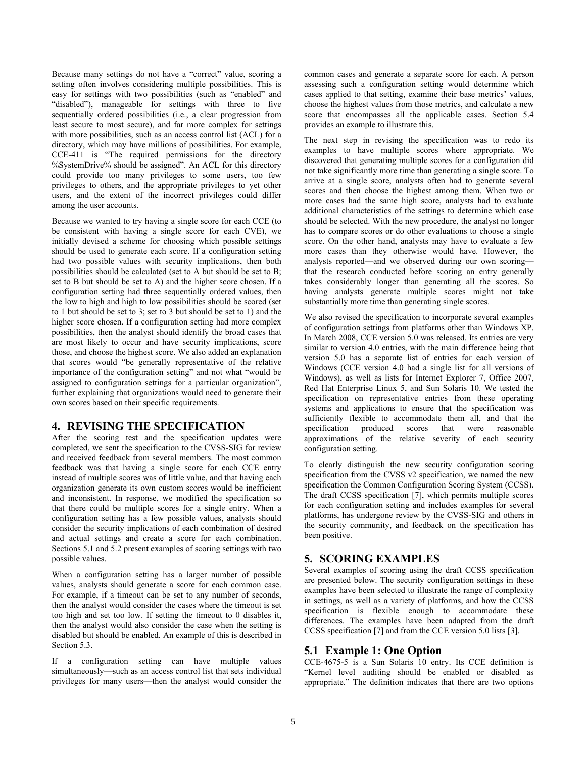Because many settings do not have a "correct" value, scoring a setting often involves considering multiple possibilities. This is easy for settings with two possibilities (such as "enabled" and "disabled"), manageable for settings with three to five sequentially ordered possibilities (i.e., a clear progression from least secure to most secure), and far more complex for settings with more possibilities, such as an access control list (ACL) for a directory, which may have millions of possibilities. For example, CCE-411 is "The required permissions for the directory %SystemDrive% should be assigned". An ACL for this directory could provide too many privileges to some users, too few privileges to others, and the appropriate privileges to yet other users, and the extent of the incorrect privileges could differ among the user accounts.

Because we wanted to try having a single score for each CCE (to be consistent with having a single score for each CVE), we initially devised a scheme for choosing which possible settings should be used to generate each score. If a configuration setting had two possible values with security implications, then both possibilities should be calculated (set to A but should be set to B; set to B but should be set to A) and the higher score chosen. If a configuration setting had three sequentially ordered values, then the low to high and high to low possibilities should be scored (set to 1 but should be set to 3; set to 3 but should be set to 1) and the higher score chosen. If a configuration setting had more complex possibilities, then the analyst should identify the broad cases that are most likely to occur and have security implications, score those, and choose the highest score. We also added an explanation that scores would "be generally representative of the relative importance of the configuration setting" and not what "would be assigned to configuration settings for a particular organization", further explaining that organizations would need to generate their own scores based on their specific requirements.

# **4. REVISING THE SPECIFICATION**

After the scoring test and the specification updates were completed, we sent the specification to the CVSS-SIG for review and received feedback from several members. The most common feedback was that having a single score for each CCE entry instead of multiple scores was of little value, and that having each organization generate its own custom scores would be inefficient and inconsistent. In response, we modified the specification so that there could be multiple scores for a single entry. When a configuration setting has a few possible values, analysts should consider the security implications of each combination of desired and actual settings and create a score for each combination. Sections 5.1 and 5.2 present examples of scoring settings with two possible values.

When a configuration setting has a larger number of possible values, analysts should generate a score for each common case. For example, if a timeout can be set to any number of seconds, then the analyst would consider the cases where the timeout is set too high and set too low. If setting the timeout to 0 disables it, then the analyst would also consider the case when the setting is disabled but should be enabled. An example of this is described in Section 5.3.

If a configuration setting can have multiple values simultaneously—such as an access control list that sets individual privileges for many users—then the analyst would consider the common cases and generate a separate score for each. A person assessing such a configuration setting would determine which cases applied to that setting, examine their base metrics' values, choose the highest values from those metrics, and calculate a new score that encompasses all the applicable cases. Section 5.4 provides an example to illustrate this.

The next step in revising the specification was to redo its examples to have multiple scores where appropriate. We discovered that generating multiple scores for a configuration did not take significantly more time than generating a single score. To arrive at a single score, analysts often had to generate several scores and then choose the highest among them. When two or more cases had the same high score, analysts had to evaluate additional characteristics of the settings to determine which case should be selected. With the new procedure, the analyst no longer has to compare scores or do other evaluations to choose a single score. On the other hand, analysts may have to evaluate a few more cases than they otherwise would have. However, the analysts reported—and we observed during our own scoring that the research conducted before scoring an entry generally takes considerably longer than generating all the scores. So having analysts generate multiple scores might not take substantially more time than generating single scores.

We also revised the specification to incorporate several examples of configuration settings from platforms other than Windows XP. In March 2008, CCE version 5.0 was released. Its entries are very similar to version 4.0 entries, with the main difference being that version 5.0 has a separate list of entries for each version of Windows (CCE version 4.0 had a single list for all versions of Windows), as well as lists for Internet Explorer 7, Office 2007, Red Hat Enterprise Linux 5, and Sun Solaris 10. We tested the specification on representative entries from these operating systems and applications to ensure that the specification was sufficiently flexible to accommodate them all, and that the specification produced scores that were reasonable approximations of the relative severity of each security configuration setting.

To clearly distinguish the new security configuration scoring specification from the CVSS v2 specification, we named the new specification the Common Configuration Scoring System (CCSS). The draft CCSS specification [7], which permits multiple scores for each configuration setting and includes examples for several platforms, has undergone review by the CVSS-SIG and others in the security community, and feedback on the specification has been positive.

# **5. SCORING EXAMPLES**

Several examples of scoring using the draft CCSS specification are presented below. The security configuration settings in these examples have been selected to illustrate the range of complexity in settings, as well as a variety of platforms, and how the CCSS specification is flexible enough to accommodate these differences. The examples have been adapted from the draft CCSS specification [7] and from the CCE version 5.0 lists [3].

### **5.1 Example 1: One Option**

CCE-4675-5 is a Sun Solaris 10 entry. Its CCE definition is "Kernel level auditing should be enabled or disabled as appropriate." The definition indicates that there are two options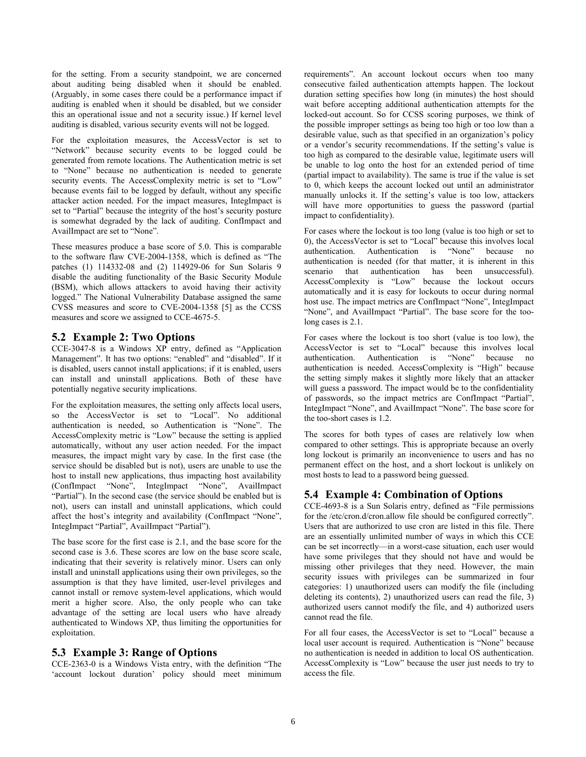for the setting. From a security standpoint, we are concerned about auditing being disabled when it should be enabled. (Arguably, in some cases there could be a performance impact if auditing is enabled when it should be disabled, but we consider this an operational issue and not a security issue.) If kernel level auditing is disabled, various security events will not be logged.

For the exploitation measures, the AccessVector is set to "Network" because security events to be logged could be generated from remote locations. The Authentication metric is set to "None" because no authentication is needed to generate security events. The AccessComplexity metric is set to "Low" because events fail to be logged by default, without any specific attacker action needed. For the impact measures, IntegImpact is set to "Partial" because the integrity of the host's security posture is somewhat degraded by the lack of auditing. ConfImpact and AvailImpact are set to "None".

These measures produce a base score of 5.0. This is comparable to the software flaw CVE-2004-1358, which is defined as "The patches (1) 114332-08 and (2) 114929-06 for Sun Solaris 9 disable the auditing functionality of the Basic Security Module (BSM), which allows attackers to avoid having their activity logged." The National Vulnerability Database assigned the same CVSS measures and score to CVE-2004-1358 [5] as the CCSS measures and score we assigned to CCE-4675-5.

# **5.2 Example 2: Two Options**

CCE-3047-8 is a Windows XP entry, defined as "Application Management". It has two options: "enabled" and "disabled". If it is disabled, users cannot install applications; if it is enabled, users can install and uninstall applications. Both of these have potentially negative security implications.

For the exploitation measures, the setting only affects local users, so the AccessVector is set to "Local". No additional authentication is needed, so Authentication is "None". The AccessComplexity metric is "Low" because the setting is applied automatically, without any user action needed. For the impact measures, the impact might vary by case. In the first case (the service should be disabled but is not), users are unable to use the host to install new applications, thus impacting host availability (ConfImpact "None", IntegImpact "None", AvailImpact "Partial"). In the second case (the service should be enabled but is not), users can install and uninstall applications, which could affect the host's integrity and availability (ConfImpact "None", IntegImpact "Partial", AvailImpact "Partial").

The base score for the first case is 2.1, and the base score for the second case is 3.6. These scores are low on the base score scale, indicating that their severity is relatively minor. Users can only install and uninstall applications using their own privileges, so the assumption is that they have limited, user-level privileges and cannot install or remove system-level applications, which would merit a higher score. Also, the only people who can take advantage of the setting are local users who have already authenticated to Windows XP, thus limiting the opportunities for exploitation.

### **5.3 Example 3: Range of Options**

CCE-2363-0 is a Windows Vista entry, with the definition "The 'account lockout duration' policy should meet minimum

requirements". An account lockout occurs when too many consecutive failed authentication attempts happen. The lockout duration setting specifies how long (in minutes) the host should wait before accepting additional authentication attempts for the locked-out account. So for CCSS scoring purposes, we think of the possible improper settings as being too high or too low than a desirable value, such as that specified in an organization's policy or a vendor's security recommendations. If the setting's value is too high as compared to the desirable value, legitimate users will be unable to log onto the host for an extended period of time (partial impact to availability). The same is true if the value is set to 0, which keeps the account locked out until an administrator manually unlocks it. If the setting's value is too low, attackers will have more opportunities to guess the password (partial impact to confidentiality).

For cases where the lockout is too long (value is too high or set to 0), the AccessVector is set to "Local" because this involves local authentication. Authentication is "None" because no authentication is needed (for that matter, it is inherent in this scenario that authentication has been unsuccessful). AccessComplexity is "Low" because the lockout occurs automatically and it is easy for lockouts to occur during normal host use. The impact metrics are ConfImpact "None", IntegImpact "None", and AvailImpact "Partial". The base score for the toolong cases is 2.1.

For cases where the lockout is too short (value is too low), the AccessVector is set to "Local" because this involves local authentication. Authentication is "None" because no authentication is needed. AccessComplexity is "High" because the setting simply makes it slightly more likely that an attacker will guess a password. The impact would be to the confidentiality of passwords, so the impact metrics are ConfImpact "Partial", IntegImpact "None", and AvailImpact "None". The base score for the too-short cases is 1.2.

The scores for both types of cases are relatively low when compared to other settings. This is appropriate because an overly long lockout is primarily an inconvenience to users and has no permanent effect on the host, and a short lockout is unlikely on most hosts to lead to a password being guessed.

# **5.4 Example 4: Combination of Options**

CCE-4693-8 is a Sun Solaris entry, defined as "File permissions for the /etc/cron.d/cron.allow file should be configured correctly". Users that are authorized to use cron are listed in this file. There are an essentially unlimited number of ways in which this CCE can be set incorrectly—in a worst-case situation, each user would have some privileges that they should not have and would be missing other privileges that they need. However, the main security issues with privileges can be summarized in four categories: 1) unauthorized users can modify the file (including deleting its contents), 2) unauthorized users can read the file, 3) authorized users cannot modify the file, and 4) authorized users cannot read the file.

For all four cases, the AccessVector is set to "Local" because a local user account is required. Authentication is "None" because no authentication is needed in addition to local OS authentication. AccessComplexity is "Low" because the user just needs to try to access the file.